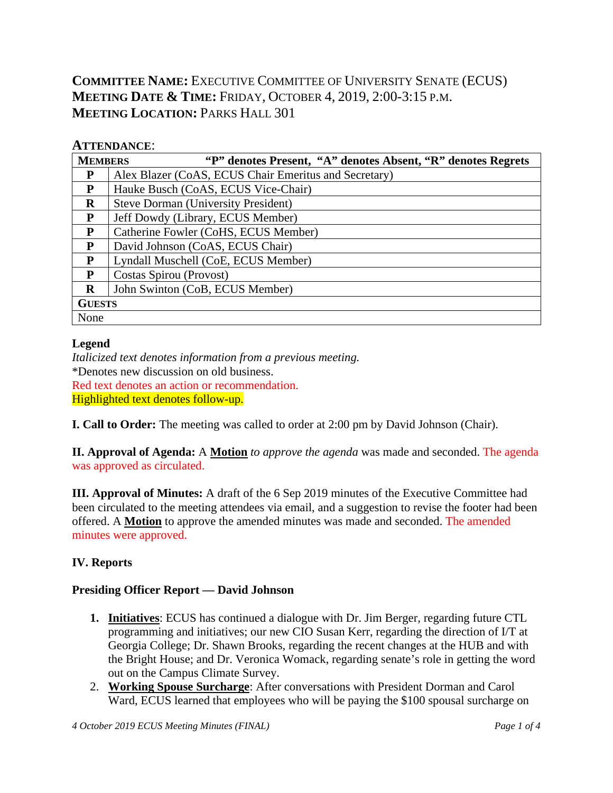# **COMMITTEE NAME:** EXECUTIVE COMMITTEE OF UNIVERSITY SENATE (ECUS) **MEETING DATE & TIME:** FRIDAY, OCTOBER 4, 2019, 2:00-3:15 P.M. **MEETING LOCATION: PARKS HALL 301**

### **ATTENDANCE**:

| <b>MEMBERS</b> | "P" denotes Present, "A" denotes Absent, "R" denotes Regrets |  |  |  |  |
|----------------|--------------------------------------------------------------|--|--|--|--|
| P              | Alex Blazer (CoAS, ECUS Chair Emeritus and Secretary)        |  |  |  |  |
| P              | Hauke Busch (CoAS, ECUS Vice-Chair)                          |  |  |  |  |
| $\bf{R}$       | <b>Steve Dorman (University President)</b>                   |  |  |  |  |
| P              | Jeff Dowdy (Library, ECUS Member)                            |  |  |  |  |
| P              | Catherine Fowler (CoHS, ECUS Member)                         |  |  |  |  |
| P              | David Johnson (CoAS, ECUS Chair)                             |  |  |  |  |
| P              | Lyndall Muschell (CoE, ECUS Member)                          |  |  |  |  |
| P              | Costas Spirou (Provost)                                      |  |  |  |  |
| R              | John Swinton (CoB, ECUS Member)                              |  |  |  |  |
| <b>GUESTS</b>  |                                                              |  |  |  |  |
| None           |                                                              |  |  |  |  |

#### **Legend**

*Italicized text denotes information from a previous meeting.* \*Denotes new discussion on old business. Red text denotes an action or recommendation. Highlighted text denotes follow-up.

**I. Call to Order:** The meeting was called to order at 2:00 pm by David Johnson (Chair).

**II. Approval of Agenda:** A **Motion** *to approve the agenda* was made and seconded. The agenda was approved as circulated.

**III. Approval of Minutes:** A draft of the 6 Sep 2019 minutes of the Executive Committee had been circulated to the meeting attendees via email, and a suggestion to revise the footer had been offered. A **Motion** to approve the amended minutes was made and seconded. The amended minutes were approved.

## **IV. Reports**

## **Presiding Officer Report — David Johnson**

- **1. Initiatives**: ECUS has continued a dialogue with Dr. Jim Berger, regarding future CTL programming and initiatives; our new CIO Susan Kerr, regarding the direction of I/T at Georgia College; Dr. Shawn Brooks, regarding the recent changes at the HUB and with the Bright House; and Dr. Veronica Womack, regarding senate's role in getting the word out on the Campus Climate Survey.
- 2. **Working Spouse Surcharge**: After conversations with President Dorman and Carol Ward, ECUS learned that employees who will be paying the \$100 spousal surcharge on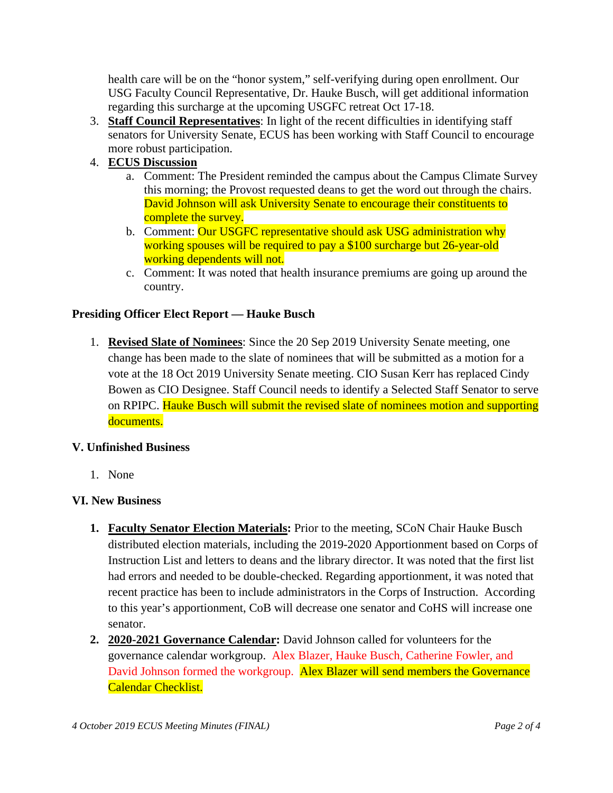health care will be on the "honor system," self-verifying during open enrollment. Our USG Faculty Council Representative, Dr. Hauke Busch, will get additional information regarding this surcharge at the upcoming USGFC retreat Oct 17-18.

- 3. **Staff Council Representatives**: In light of the recent difficulties in identifying staff senators for University Senate, ECUS has been working with Staff Council to encourage more robust participation.
- 4. **ECUS Discussion**
	- a. Comment: The President reminded the campus about the Campus Climate Survey this morning; the Provost requested deans to get the word out through the chairs. David Johnson will ask University Senate to encourage their constituents to complete the survey.
	- b. Comment: Our USGFC representative should ask USG administration why working spouses will be required to pay a \$100 surcharge but 26-year-old working dependents will not.
	- c. Comment: It was noted that health insurance premiums are going up around the country.

#### **Presiding Officer Elect Report — Hauke Busch**

1. **Revised Slate of Nominees**: Since the 20 Sep 2019 University Senate meeting, one change has been made to the slate of nominees that will be submitted as a motion for a vote at the 18 Oct 2019 University Senate meeting. CIO Susan Kerr has replaced Cindy Bowen as CIO Designee. Staff Council needs to identify a Selected Staff Senator to serve on RPIPC. Hauke Busch will submit the revised slate of nominees motion and supporting documents.

#### **V. Unfinished Business**

1. None

#### **VI. New Business**

- **1. Faculty Senator Election Materials:** Prior to the meeting, SCoN Chair Hauke Busch distributed election materials, including the 2019-2020 Apportionment based on Corps of Instruction List and letters to deans and the library director. It was noted that the first list had errors and needed to be double-checked. Regarding apportionment, it was noted that recent practice has been to include administrators in the Corps of Instruction. According to this year's apportionment, CoB will decrease one senator and CoHS will increase one senator.
- **2. 2020-2021 Governance Calendar:** David Johnson called for volunteers for the governance calendar workgroup. Alex Blazer, Hauke Busch, Catherine Fowler, and David Johnson formed the workgroup. Alex Blazer will send members the Governance Calendar Checklist.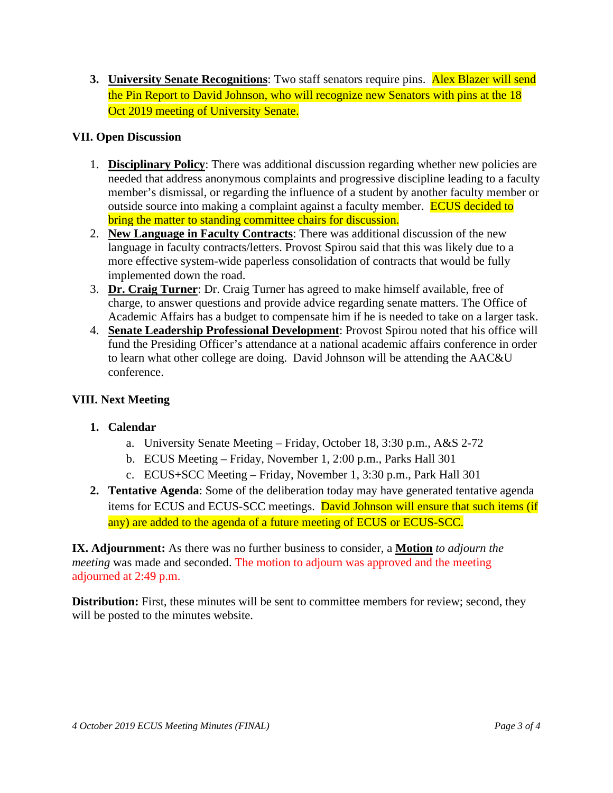**3. University Senate Recognitions**: Two staff senators require pins. **Alex Blazer will send** the Pin Report to David Johnson, who will recognize new Senators with pins at the 18 Oct 2019 meeting of University Senate.

#### **VII. Open Discussion**

- 1. **Disciplinary Policy**: There was additional discussion regarding whether new policies are needed that address anonymous complaints and progressive discipline leading to a faculty member's dismissal, or regarding the influence of a student by another faculty member or outside source into making a complaint against a faculty member. **ECUS decided to** bring the matter to standing committee chairs for discussion.
- 2. **New Language in Faculty Contracts**: There was additional discussion of the new language in faculty contracts/letters. Provost Spirou said that this was likely due to a more effective system-wide paperless consolidation of contracts that would be fully implemented down the road.
- 3. **Dr. Craig Turner**: Dr. Craig Turner has agreed to make himself available, free of charge, to answer questions and provide advice regarding senate matters. The Office of Academic Affairs has a budget to compensate him if he is needed to take on a larger task.
- 4. **Senate Leadership Professional Development**: Provost Spirou noted that his office will fund the Presiding Officer's attendance at a national academic affairs conference in order to learn what other college are doing. David Johnson will be attending the AAC&U conference.

### **VIII. Next Meeting**

## **1. Calendar**

- a. University Senate Meeting Friday, October 18, 3:30 p.m., A&S 2-72
- b. ECUS Meeting Friday, November 1, 2:00 p.m., Parks Hall 301
- c. ECUS+SCC Meeting Friday, November 1, 3:30 p.m., Park Hall 301
- **2. Tentative Agenda**: Some of the deliberation today may have generated tentative agenda items for ECUS and ECUS-SCC meetings. David Johnson will ensure that such items (if any) are added to the agenda of a future meeting of ECUS or ECUS-SCC.

**IX. Adjournment:** As there was no further business to consider, a **Motion** *to adjourn the meeting* was made and seconded. The motion to adjourn was approved and the meeting adjourned at 2:49 p.m.

**Distribution:** First, these minutes will be sent to committee members for review; second, they will be posted to the minutes website.